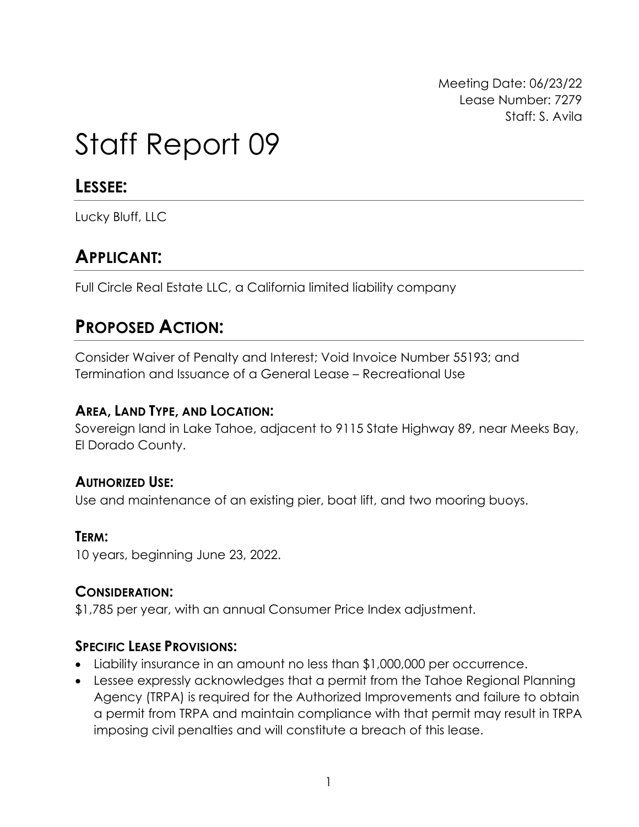Meeting Date: 06/23/22 Lease Number: 7279 Staff: S. Avila

# Staff Report 09

### **LESSEE:**

Lucky Bluff, LLC

# **APPLICANT:**

Full Circle Real Estate LLC, a California limited liability company

## **PROPOSED ACTION:**

Consider Waiver of Penalty and Interest; Void Invoice Number 55193; and Termination and Issuance of a General Lease – Recreational Use

#### **AREA, LAND TYPE, AND LOCATION:**

Sovereign land in Lake Tahoe, adjacent to 9115 State Highway 89, near Meeks Bay, El Dorado County.

#### **AUTHORIZED USE:**

Use and maintenance of an existing pier, boat lift, and two mooring buoys.

#### **TERM:**

10 years, beginning June 23, 2022.

#### **CONSIDERATION:**

\$1,785 per year, with an annual Consumer Price Index adjustment.

#### **SPECIFIC LEASE PROVISIONS:**

- Liability insurance in an amount no less than \$1,000,000 per occurrence.
- Lessee expressly acknowledges that a permit from the Tahoe Regional Planning Agency (TRPA) is required for the Authorized Improvements and failure to obtain a permit from TRPA and maintain compliance with that permit may result in TRPA imposing civil penalties and will constitute a breach of this lease.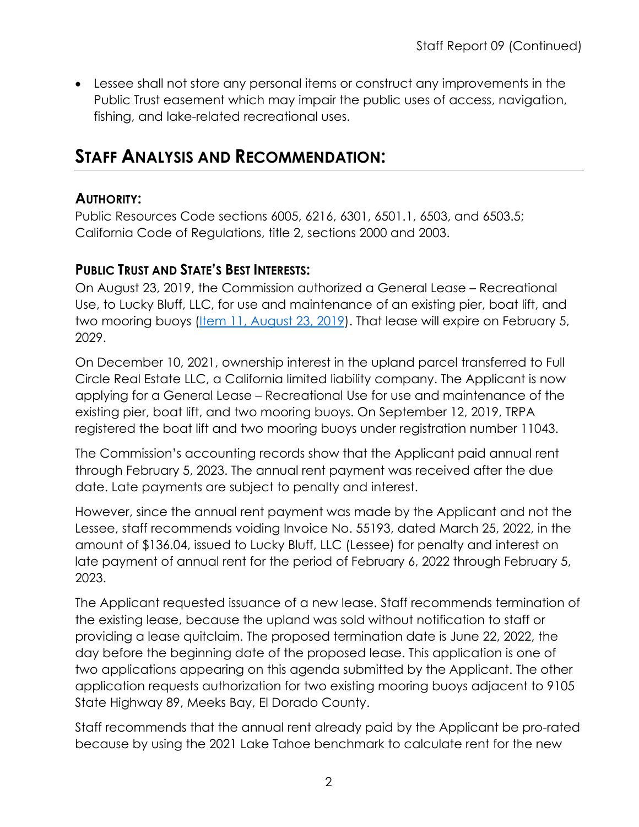• Lessee shall not store any personal items or construct any improvements in the Public Trust easement which may impair the public uses of access, navigation, fishing, and lake-related recreational uses.

## **STAFF ANALYSIS AND RECOMMENDATION:**

#### **AUTHORITY:**

Public Resources Code sections 6005, 6216, 6301, 6501.1, 6503, and 6503.5; California Code of Regulations, title 2, sections 2000 and 2003.

#### **PUBLIC TRUST AND STATE'S BEST INTERESTS:**

On August 23, 2019, the Commission authorized a General Lease – Recreational Use, to Lucky Bluff, LLC, for use and maintenance of an existing pier, boat lift, and two mooring buoys (*Item 11, August 23, 2019*). That lease will expire on February 5, 2029.

On December 10, 2021, ownership interest in the upland parcel transferred to Full Circle Real Estate LLC, a California limited liability company. The Applicant is now applying for a General Lease – Recreational Use for use and maintenance of the existing pier, boat lift, and two mooring buoys. On September 12, 2019, TRPA registered the boat lift and two mooring buoys under registration number 11043.

The Commission's accounting records show that the Applicant paid annual rent through February 5, 2023. The annual rent payment was received after the due date. Late payments are subject to penalty and interest.

However, since the annual rent payment was made by the Applicant and not the Lessee, staff recommends voiding Invoice No. 55193, dated March 25, 2022, in the amount of \$136.04, issued to Lucky Bluff, LLC (Lessee) for penalty and interest on late payment of annual rent for the period of February 6, 2022 through February 5, 2023.

The Applicant requested issuance of a new lease. Staff recommends termination of the existing lease, because the upland was sold without notification to staff or providing a lease quitclaim. The proposed termination date is June 22, 2022, the day before the beginning date of the proposed lease. This application is one of two applications appearing on this agenda submitted by the Applicant. The other application requests authorization for two existing mooring buoys adjacent to 9105 State Highway 89, Meeks Bay, El Dorado County.

Staff recommends that the annual rent already paid by the Applicant be pro-rated because by using the 2021 Lake Tahoe benchmark to calculate rent for the new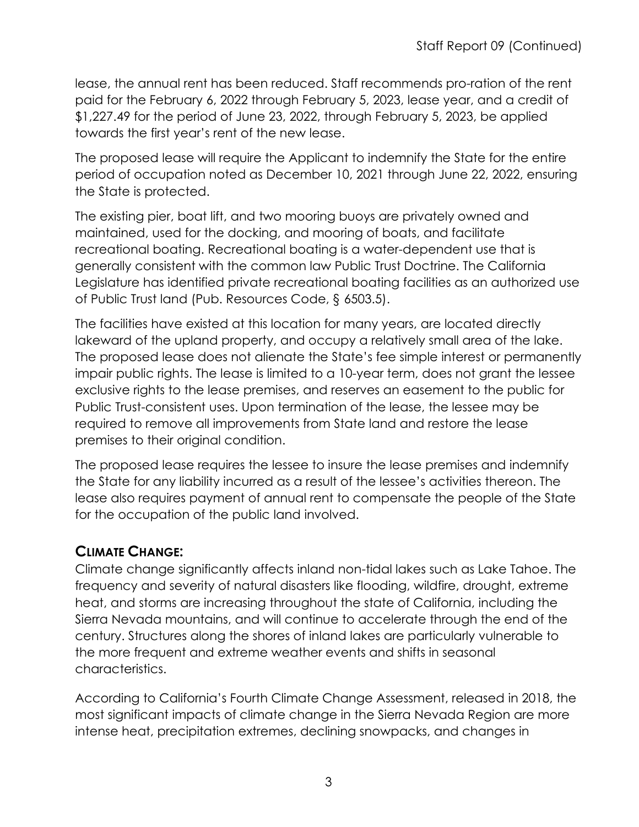lease, the annual rent has been reduced. Staff recommends pro-ration of the rent paid for the February 6, 2022 through February 5, 2023, lease year, and a credit of \$1,227.49 for the period of June 23, 2022, through February 5, 2023, be applied towards the first year's rent of the new lease.

The proposed lease will require the Applicant to indemnify the State for the entire period of occupation noted as December 10, 2021 through June 22, 2022, ensuring the State is protected.

The existing pier, boat lift, and two mooring buoys are privately owned and maintained, used for the docking, and mooring of boats, and facilitate recreational boating. Recreational boating is a water-dependent use that is generally consistent with the common law Public Trust Doctrine. The California Legislature has identified private recreational boating facilities as an authorized use of Public Trust land (Pub. Resources Code, § 6503.5).

The facilities have existed at this location for many years, are located directly lakeward of the upland property, and occupy a relatively small area of the lake. The proposed lease does not alienate the State's fee simple interest or permanently impair public rights. The lease is limited to a 10-year term, does not grant the lessee exclusive rights to the lease premises, and reserves an easement to the public for Public Trust-consistent uses. Upon termination of the lease, the lessee may be required to remove all improvements from State land and restore the lease premises to their original condition.

The proposed lease requires the lessee to insure the lease premises and indemnify the State for any liability incurred as a result of the lessee's activities thereon. The lease also requires payment of annual rent to compensate the people of the State for the occupation of the public land involved.

#### **CLIMATE CHANGE:**

Climate change significantly affects inland non-tidal lakes such as Lake Tahoe. The frequency and severity of natural disasters like flooding, wildfire, drought, extreme heat, and storms are increasing throughout the state of California, including the Sierra Nevada mountains, and will continue to accelerate through the end of the century. Structures along the shores of inland lakes are particularly vulnerable to the more frequent and extreme weather events and shifts in seasonal characteristics.

According to California's Fourth Climate Change Assessment, released in 2018, the most significant impacts of climate change in the Sierra Nevada Region are more intense heat, precipitation extremes, declining snowpacks, and changes in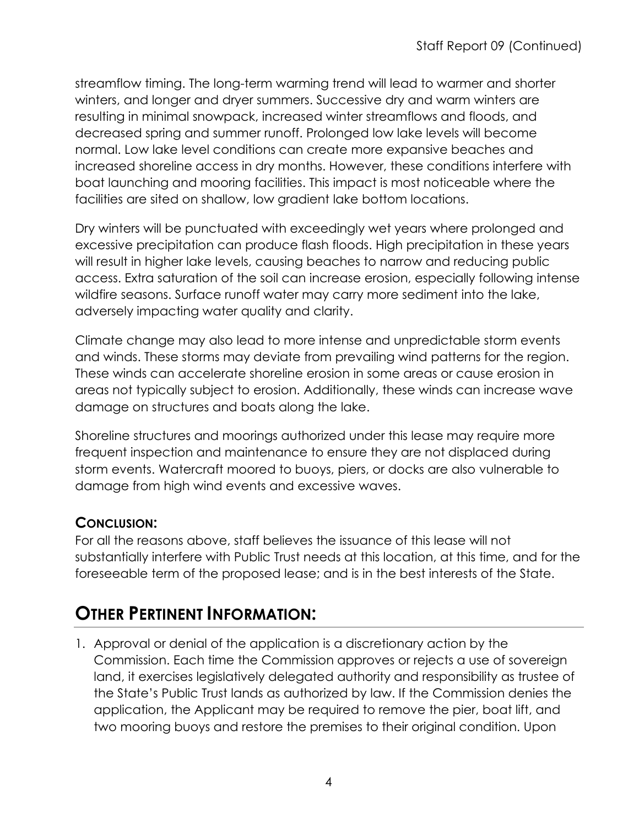streamflow timing. The long-term warming trend will lead to warmer and shorter winters, and longer and dryer summers. Successive dry and warm winters are resulting in minimal snowpack, increased winter streamflows and floods, and decreased spring and summer runoff. Prolonged low lake levels will become normal. Low lake level conditions can create more expansive beaches and increased shoreline access in dry months. However, these conditions interfere with boat launching and mooring facilities. This impact is most noticeable where the facilities are sited on shallow, low gradient lake bottom locations.

Dry winters will be punctuated with exceedingly wet years where prolonged and excessive precipitation can produce flash floods. High precipitation in these years will result in higher lake levels, causing beaches to narrow and reducing public access. Extra saturation of the soil can increase erosion, especially following intense wildfire seasons. Surface runoff water may carry more sediment into the lake, adversely impacting water quality and clarity.

Climate change may also lead to more intense and unpredictable storm events and winds. These storms may deviate from prevailing wind patterns for the region. These winds can accelerate shoreline erosion in some areas or cause erosion in areas not typically subject to erosion. Additionally, these winds can increase wave damage on structures and boats along the lake.

Shoreline structures and moorings authorized under this lease may require more frequent inspection and maintenance to ensure they are not displaced during storm events. Watercraft moored to buoys, piers, or docks are also vulnerable to damage from high wind events and excessive waves.

#### **CONCLUSION:**

For all the reasons above, staff believes the issuance of this lease will not substantially interfere with Public Trust needs at this location, at this time, and for the foreseeable term of the proposed lease; and is in the best interests of the State.

# **OTHER PERTINENT INFORMATION:**

1. Approval or denial of the application is a discretionary action by the Commission. Each time the Commission approves or rejects a use of sovereign land, it exercises legislatively delegated authority and responsibility as trustee of the State's Public Trust lands as authorized by law. If the Commission denies the application, the Applicant may be required to remove the pier, boat lift, and two mooring buoys and restore the premises to their original condition. Upon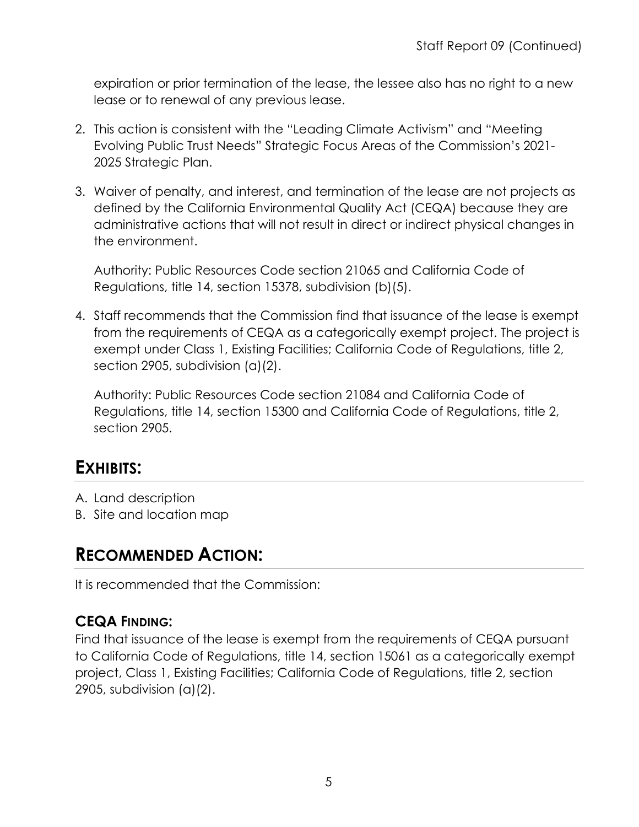expiration or prior termination of the lease, the lessee also has no right to a new lease or to renewal of any previous lease.

- 2. This action is consistent with the "Leading Climate Activism" and "Meeting Evolving Public Trust Needs" Strategic Focus Areas of the Commission's 2021- 2025 Strategic Plan.
- 3. Waiver of penalty, and interest, and termination of the lease are not projects as defined by the California Environmental Quality Act (CEQA) because they are administrative actions that will not result in direct or indirect physical changes in the environment.

Authority: Public Resources Code section 21065 and California Code of Regulations, title 14, section 15378, subdivision (b)(5).

4. Staff recommends that the Commission find that issuance of the lease is exempt from the requirements of CEQA as a categorically exempt project. The project is exempt under Class 1, Existing Facilities; California Code of Regulations, title 2, section 2905, subdivision (a)(2).

Authority: Public Resources Code section 21084 and California Code of Regulations, title 14, section 15300 and California Code of Regulations, title 2, section 2905.

# **EXHIBITS:**

- A. Land description
- B. Site and location map

## **RECOMMENDED ACTION:**

It is recommended that the Commission:

#### **CEQA FINDING:**

Find that issuance of the lease is exempt from the requirements of CEQA pursuant to California Code of Regulations, title 14, section 15061 as a categorically exempt project, Class 1, Existing Facilities; California Code of Regulations, title 2, section 2905, subdivision (a)(2).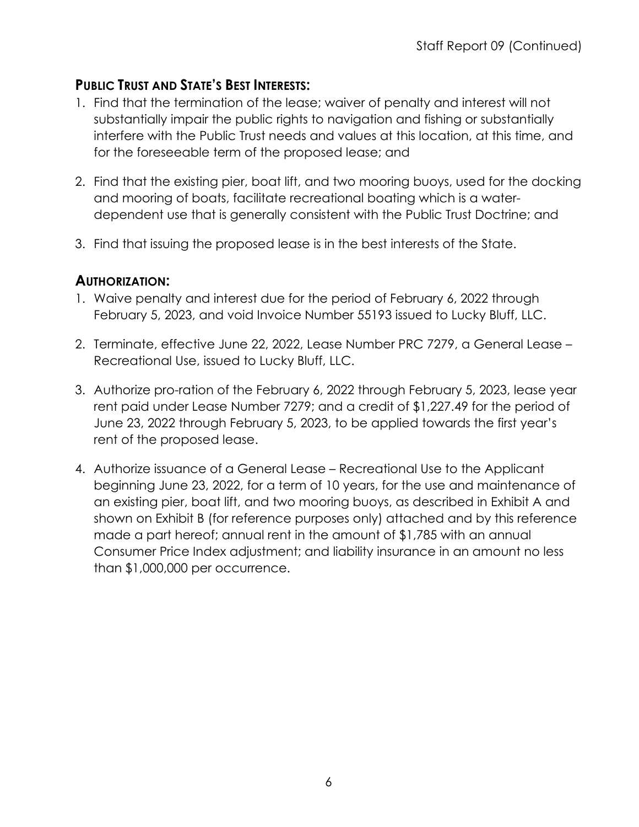#### **PUBLIC TRUST AND STATE'S BEST INTERESTS:**

- 1. Find that the termination of the lease; waiver of penalty and interest will not substantially impair the public rights to navigation and fishing or substantially interfere with the Public Trust needs and values at this location, at this time, and for the foreseeable term of the proposed lease; and
- 2. Find that the existing pier, boat lift, and two mooring buoys, used for the docking and mooring of boats, facilitate recreational boating which is a waterdependent use that is generally consistent with the Public Trust Doctrine; and
- 3. Find that issuing the proposed lease is in the best interests of the State.

#### **AUTHORIZATION:**

- 1. Waive penalty and interest due for the period of February 6, 2022 through February 5, 2023, and void Invoice Number 55193 issued to Lucky Bluff, LLC.
- 2. Terminate, effective June 22, 2022, Lease Number PRC 7279, a General Lease Recreational Use, issued to Lucky Bluff, LLC.
- 3. Authorize pro-ration of the February 6, 2022 through February 5, 2023, lease year rent paid under Lease Number 7279; and a credit of \$1,227.49 for the period of June 23, 2022 through February 5, 2023, to be applied towards the first year's rent of the proposed lease.
- 4. Authorize issuance of a General Lease Recreational Use to the Applicant beginning June 23, 2022, for a term of 10 years, for the use and maintenance of an existing pier, boat lift, and two mooring buoys, as described in Exhibit A and shown on Exhibit B (for reference purposes only) attached and by this reference made a part hereof; annual rent in the amount of \$1,785 with an annual Consumer Price Index adjustment; and liability insurance in an amount no less than \$1,000,000 per occurrence.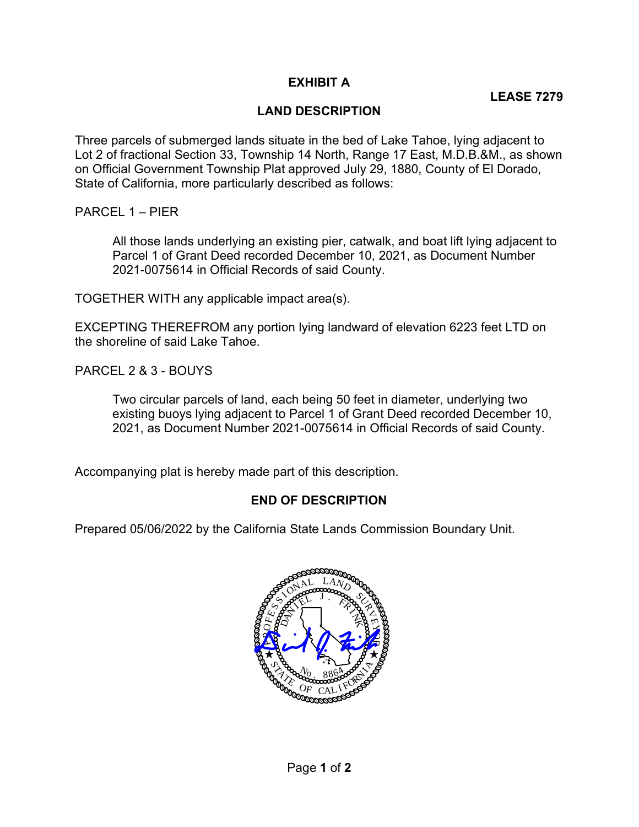#### EXHIBIT A

#### LAND DESCRIPTION

 Three parcels of submerged lands situate in the bed of Lake Tahoe, lying adjacent to Lot 2 of fractional Section 33, Township 14 North, Range 17 East, M.D.B.&M., as shown on Official Government Township Plat approved July 29, 1880, County of El Dorado, State of California, more particularly described as follows:

PARCEL 1 – PIER

 All those lands underlying an existing pier, catwalk, and boat lift lying adjacent to Parcel 1 of Grant Deed recorded December 10, 2021, as Document Number 2021-0075614 in Official Records of said County.

TOGETHER WITH any applicable impact area(s).

 EXCEPTING THEREFROM any portion lying landward of elevation 6223 feet LTD on the shoreline of said Lake Tahoe.

PARCEL 2 & 3 - BOUYS

 Two circular parcels of land, each being 50 feet in diameter, underlying two existing buoys lying adjacent to Parcel 1 of Grant Deed recorded December 10, 2021, as Document Number 2021-0075614 in Official Records of said County.

Accompanying plat is hereby made part of this description.

#### END OF DESCRIPTION

Prepared 05/06/2022 by the California State Lands Commission Boundary Unit.

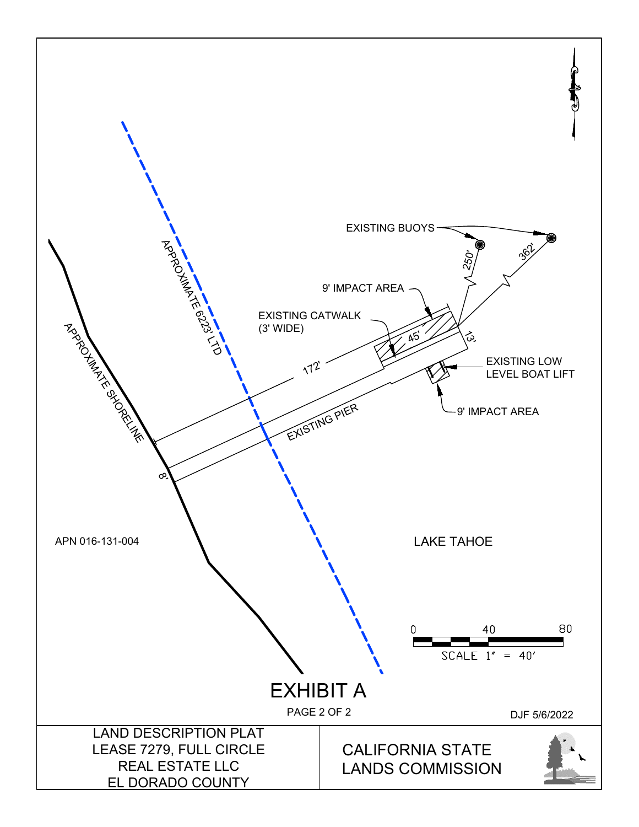